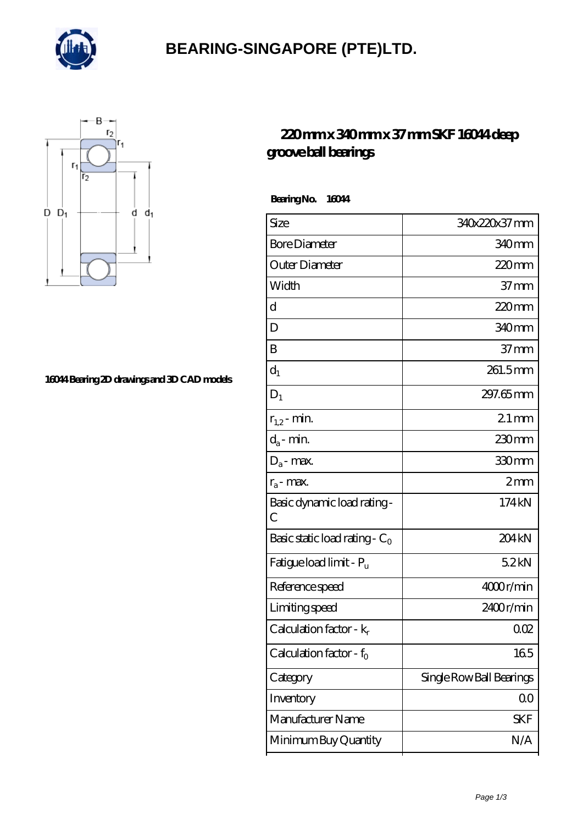

### **[BEARING-SINGAPORE \(PTE\)LTD.](https://dornsclassicimages.com)**



#### **[16044 Bearing 2D drawings and 3D CAD models](https://dornsclassicimages.com/pic-420085.html)**

### **[220 mm x 340 mm x 37 mm SKF 16044 deep](https://dornsclassicimages.com/sell-420085-220-mm-x-340-mm-x-37-mm-skf-16044-deep-groove-ball-bearings.html) [groove ball bearings](https://dornsclassicimages.com/sell-420085-220-mm-x-340-mm-x-37-mm-skf-16044-deep-groove-ball-bearings.html)**

 **Bearing No. 16044**

| Size                             | 340x220x37 mm            |
|----------------------------------|--------------------------|
| <b>Bore Diameter</b>             | 340mm                    |
| Outer Diameter                   | $220$ mm                 |
| Width                            | $37 \text{mm}$           |
| d                                | 220mm                    |
| D                                | 340 <sub>mm</sub>        |
| B                                | 37 mm                    |
| $d_1$                            | 261.5mm                  |
| $D_1$                            | 297.65 mm                |
| $r_{1,2}$ - min.                 | $21 \,\mathrm{mm}$       |
| $d_a$ - min.                     | 230mm                    |
| $D_a$ - max.                     | 330mm                    |
| $r_a$ - max.                     | 2mm                      |
| Basic dynamic load rating -<br>С | 174 kN                   |
| Basic static load rating - $C_0$ | 204 <sub>kN</sub>        |
| Fatigue load limit - Pu          | 52kN                     |
| Reference speed                  | 4000r/min                |
| Limiting speed                   | 2400r/min                |
| Calculation factor - $k_r$       | 002                      |
| Calculation factor - $f_0$       | 165                      |
| Category                         | Single Row Ball Bearings |
| Inventory                        | $00\,$                   |
| Manufacturer Name                | SKF                      |
| Minimum Buy Quantity             | N/A                      |
|                                  |                          |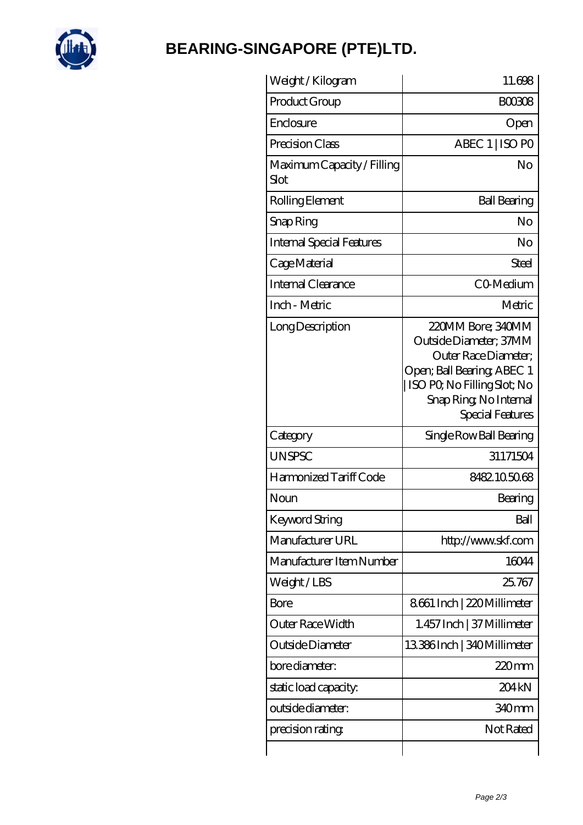

# **[BEARING-SINGAPORE \(PTE\)LTD.](https://dornsclassicimages.com)**

| Weight /Kilogram                   | 11.698                                                                                                                                                                         |
|------------------------------------|--------------------------------------------------------------------------------------------------------------------------------------------------------------------------------|
| Product Group                      | <b>BOO308</b>                                                                                                                                                                  |
| Enclosure                          | Open                                                                                                                                                                           |
| Precision Class                    | ABEC 1   ISO PO                                                                                                                                                                |
| Maximum Capacity / Filling<br>Slot | No                                                                                                                                                                             |
| Rolling Element                    | <b>Ball Bearing</b>                                                                                                                                                            |
| Snap Ring                          | No                                                                                                                                                                             |
| <b>Internal Special Features</b>   | No                                                                                                                                                                             |
| Cage Material                      | Steel                                                                                                                                                                          |
| Internal Clearance                 | CO-Medium                                                                                                                                                                      |
| Inch - Metric                      | Metric                                                                                                                                                                         |
| Long Description                   | 220MM Bore; 340MM<br>Outside Diameter; 37MM<br>Outer Race Diameter:<br>Open; Ball Bearing; ABEC 1<br>ISO PO, No Filling Slot; No<br>Snap Ring, No Internal<br>Special Features |
| Category                           | Single Row Ball Bearing                                                                                                                                                        |
| <b>UNSPSC</b>                      | 31171504                                                                                                                                                                       |
| Harmonized Tariff Code             | 8482105068                                                                                                                                                                     |
| Noun                               | Bearing                                                                                                                                                                        |
| Keyword String                     | Ball                                                                                                                                                                           |
| Manufacturer URL                   | http://www.skf.com                                                                                                                                                             |
| Manufacturer Item Number           | 16044                                                                                                                                                                          |
| Weight/LBS                         | 25.767                                                                                                                                                                         |
| Bore                               | 8661 Inch   220 Millimeter                                                                                                                                                     |
| Outer Race Width                   | 1.457 Inch   37 Millimeter                                                                                                                                                     |
| Outside Diameter                   | 13386Inch   340Millimeter                                                                                                                                                      |
| bore diameter:                     | $220$ mm                                                                                                                                                                       |
| static load capacity:              | 204kN                                                                                                                                                                          |
| outside diameter:                  | 340mm                                                                                                                                                                          |
| precision rating                   | Not Rated                                                                                                                                                                      |
|                                    |                                                                                                                                                                                |